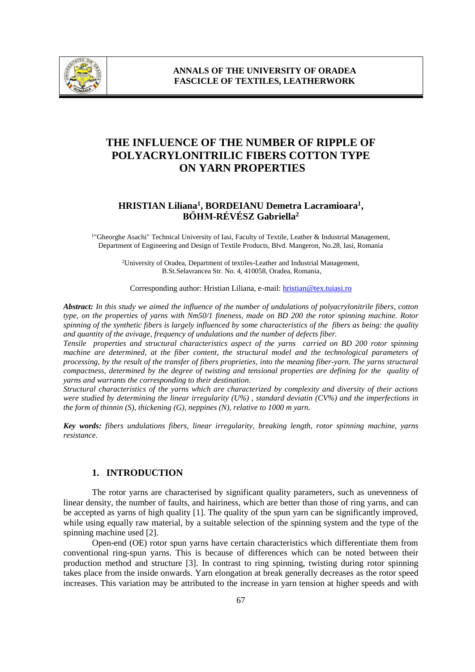

# **THE INFLUENCE OF THE NUMBER OF RIPPLE OF POLYACRYLONITRILIC FIBERS COTTON TYPE ON YARN PROPERTIES**

## **HRISTIAN Liliana<sup>1</sup> , BORDEIANU Demetra Lacramioara<sup>1</sup> , BŐHM-RÉVÉSZ Gabriella<sup>2</sup>**

<sup>1</sup>"Gheorghe Asachi" Technical University of Iasi, Faculty of Textile, Leather & Industrial Management, Department of Engineering and Design of Textile Products, Blvd. Mangeron, No.28, Iasi, Romania

<sup>2</sup>University of Oradea, Department of textiles-Leather and Industrial Management, B.St.Selavrancea Str. No. 4, 410058, Oradea, Romania,

Corresponding author: Hristian Liliana, e-mail[: hristian@tex.tuiasi.ro](mailto:hristian@tex.tuiasi.ro)

*Abstract: In this study we aimed the influence of the number of undulations of polyacrylonitrile fibers, cotton type, on the properties of yarns with Nm50/1 fineness, made on BD 200 the rotor spinning machine. Rotor spinning of the synthetic fibers is largely influenced by some characteristics of the fibers as being: the quality and quantity of the avivage, frequency of undulations and the number of defects fiber.* 

*Tensile properties and structural characteristics aspect of the yarns carried on BD 200 rotor spinning machine are determined, at the fiber content, the structural model and the technological parameters of processing, by the result of the transfer of fibers proprieties, into the meaning fiber-yarn. The yarns structural compactness, determined by the degree of twisting and tensional properties are defining for the quality of yarns and warrants the corresponding to their destination.*

*Structural characteristics of the yarns which are characterized by complexity and diversity of their actions were studied by determining the linear irregularity (U%) , standard deviatin (CV%) and the imperfections in the form of thinnin (S), thickening (G), neppines (N), relative to 1000 m yarn.*

*Key words: fibers undulations fibers, linear irregularity, breaking length, rotor spinning machine, yarns resistance.*

#### **1. INTRODUCTION**

The rotor yarns are characterised by significant quality parameters, such as unevenness of linear density, the number of faults, and hairiness, which are better than those of ring yarns, and can be accepted as yarns of high quality [1]. The quality of the spun yarn can be significantly improved, while using equally raw material, by a suitable selection of the spinning system and the type of the spinning machine used [2].

Open-end (OE) rotor spun yarns have certain characteristics which differentiate them from conventional ring-spun yarns. This is because of differences which can be noted between their production method and structure [3]. In contrast to ring spinning, twisting during rotor spinning takes place from the inside onwards. Yarn elongation at break generally decreases as the rotor speed increases. This variation may be attributed to the increase in yarn tension at higher speeds and with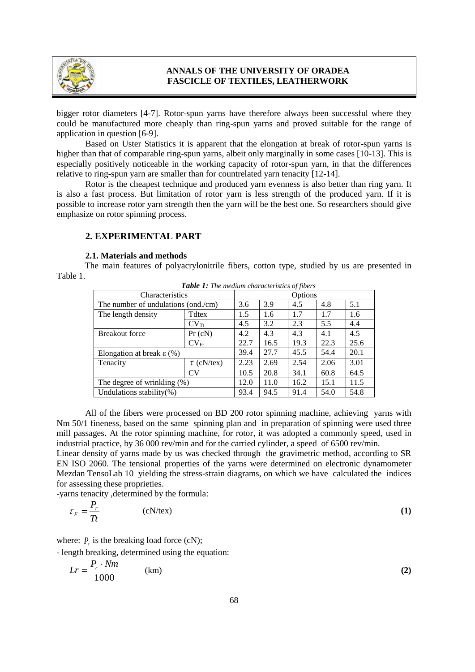

bigger rotor diameters [4-7]. Rotor-spun yarns have therefore always been successful where they could be manufactured more cheaply than ring-spun yarns and proved suitable for the range of application in question [6-9].

Based on Uster Statistics it is apparent that the elongation at break of rotor-spun yarns is higher than that of comparable ring-spun yarns, albeit only marginally in some cases [10-13]. This is especially positively noticeable in the working capacity of rotor-spun yarn, in that the differences relative to ring-spun yarn are smaller than for countrelated yarn tenacity [12-14].

Rotor is the cheapest technique and produced yarn evenness is also better than ring yarn. It is also a fast process. But limitation of rotor yarn is less strength of the produced yarn. If it is possible to increase rotor yarn strength then the yarn will be the best one. So researchers should give emphasize on rotor spinning process.

## **2. EXPERIMENTAL PART**

#### **2.1. Materials and methods**

The main features of polyacrylonitrile fibers, cotton type, studied by us are presented in Table 1.

| <b>Table 1:</b> The medium characteristics of fibers |                  |         |      |      |      |      |  |  |  |
|------------------------------------------------------|------------------|---------|------|------|------|------|--|--|--|
| Characteristics                                      |                  | Options |      |      |      |      |  |  |  |
| The number of undulations (ond./cm)                  |                  | 3.6     | 3.9  | 4.5  | 4.8  | 5.1  |  |  |  |
| The length density                                   | <b>T</b> dtex    | 1.5     | 1.6  | 1.7  | 1.7  | 1.6  |  |  |  |
|                                                      | $CV_{\text{rt}}$ | 4.5     | 3.2  | 2.3  | 5.5  | 4.4  |  |  |  |
| <b>Breakout force</b>                                | Pr(cN)           | 4.2     | 4.3  | 4.3  | 4.1  | 4.5  |  |  |  |
|                                                      | $CV_{Fr}$        | 22.7    | 16.5 | 19.3 | 22.3 | 25.6 |  |  |  |
| Elongation at break $\varepsilon$ (%)                |                  | 39.4    | 27.7 | 45.5 | 54.4 | 20.1 |  |  |  |
| Tenacity                                             | $\tau$ (cN/tex)  | 2.23    | 2.69 | 2.54 | 2.06 | 3.01 |  |  |  |
|                                                      | <b>CV</b>        | 10.5    | 20.8 | 34.1 | 60.8 | 64.5 |  |  |  |
| The degree of wrinkling $(\%)$                       |                  | 12.0    | 11.0 | 16.2 | 15.1 | 11.5 |  |  |  |
| Undulations stability $(\%)$                         |                  | 93.4    | 94.5 | 91.4 | 54.0 | 54.8 |  |  |  |

*Table 1: The medium characteristics of fibers*

All of the fibers were processed on BD 200 rotor spinning machine, achieving yarns with Nm 50/1 fineness, based on the same spinning plan and in preparation of spinning were used three mill passages. At the rotor spinning machine, for rotor, it was adopted a commonly speed, used in industrial practice, by 36 000 rev/min and for the carried cylinder, a speed of 6500 rev/min.

Linear density of yarns made by us was checked through the gravimetric method, according to SR EN ISO 2060. The tensional properties of the yarns were determined on electronic dynamometer Mezdan TensoLab 10 yielding the stress-strain diagrams, on which we have calculated the indices for assessing these proprieties.

-yarns tenacity ,determined by the formula:

$$
\tau_F = \frac{P_r}{Tt} \tag{1}
$$

where:  $P_r$  is the breaking load force (cN);

- length breaking, determined using the equation:

$$
Lr = \frac{P_r \cdot Nm}{1000} \tag{2}
$$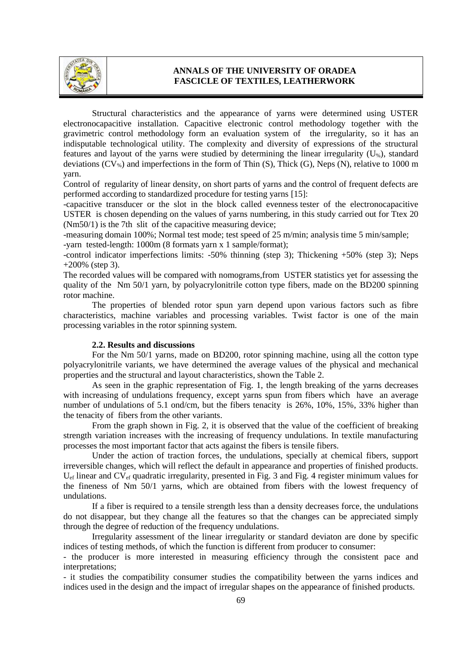

Structural characteristics and the appearance of yarns were determined using USTER electronocapacitive installation. Capacitive electronic control methodology together with the gravimetric control methodology form an evaluation system of the irregularity, so it has an indisputable technological utility. The complexity and diversity of expressions of the structural features and layout of the yarns were studied by determining the linear irregularity  $(U_*)$ , standard deviations  $(CV_{\%})$  and imperfections in the form of Thin (S), Thick (G), Neps (N), relative to 1000 m yarn.

Control of regularity of linear density, on short parts of yarns and the control of frequent defects are performed according to standardized procedure for testing yarns [15]:

-capacitive transducer or the slot in the block called [evenness](http://hallo.ro/search.do?l=ro&d=en&query=evenness) [tester](http://hallo.ro/search.do?l=ro&d=en&query=tester) of the electronocapacitive USTER is chosen depending on the values of yarns numbering, in this study carried out for Ttex 20 (Nm50/1) is the 7th slit of the capacitive measuring device;

-measuring domain 100%; Normal test mode; test speed of 25 m/min; analysis time 5 min/sample;

-yarn tested-length: 1000m (8 formats yarn x 1 sample/format);

-control indicator imperfections limits: -50% thinning (step 3); Thickening +50% (step 3); Neps  $+200\%$  (step 3).

The recorded values will be compared with nomograms,from USTER statistics yet for assessing the quality of the Nm 50/1 yarn, by polyacrylonitrile cotton type fibers, made on the BD200 spinning rotor machine.

The properties of blended rotor spun yarn depend upon various factors such as fibre characteristics, machine variables and processing variables. Twist factor is one of the main processing variables in the rotor spinning system.

### **2.2. Results and discussions**

For the Nm 50/1 yarns, made on BD200, rotor spinning machine, using all the cotton type polyacrylonitrile variants, we have determined the average values of the physical and mechanical properties and the structural and layout characteristics, shown the Table 2.

As seen in the graphic representation of Fig. 1, the length breaking of the yarns decreases with increasing of undulations frequency, except yarns spun from fibers which have an average number of undulations of 5.1 ond/cm, but the fibers tenacity is 26%, 10%, 15%, 33% higher than the tenacity of fibers from the other variants.

From the graph shown in Fig. 2, it is observed that the value of the coefficient of breaking strength variation increases with the increasing of frequency undulations. In textile manufacturing processes the most important factor that acts against the fibers is tensile fibers.

Under the action of traction forces, the undulations, specially at chemical fibers, support irreversible changes, which will reflect the default in appearance and properties of finished products. U<sub>ef</sub> linear and CV<sub>ef</sub> quadratic irregularity, presented in Fig. 3 and Fig. 4 register minimum values for the fineness of Nm 50/1 yarns, which are obtained from fibers with the lowest frequency of undulations.

If a fiber is required to a tensile strength less than a density decreases force, the undulations do not disappear, but they change all the features so that the changes can be appreciated simply through the degree of reduction of the frequency undulations.

Irregularity assessment of the linear irregularity or standard deviaton are done by specific indices of testing methods, of which the function is different from producer to consumer:

- the producer is more interested in measuring efficiency through the consistent pace and interpretations;

- it studies the compatibility consumer studies the compatibility between the yarns indices and indices used in the design and the impact of irregular shapes on the appearance of finished products.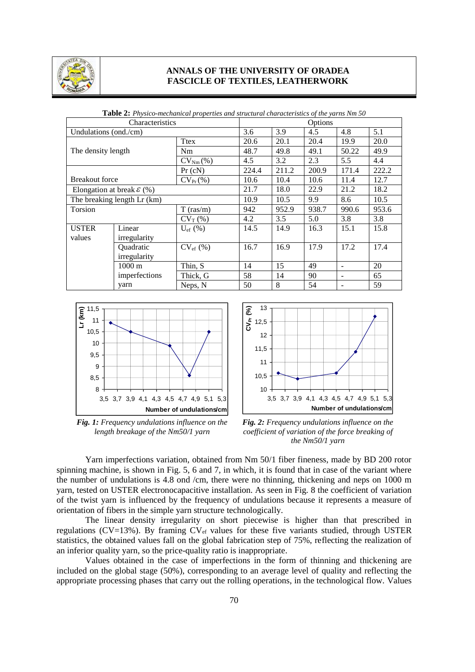

| Characteristics                       |                  | Options          |       |       |       |       |       |
|---------------------------------------|------------------|------------------|-------|-------|-------|-------|-------|
| Undulations (ond./cm)                 |                  | 3.6              | 3.9   | 4.5   | 4.8   | 5.1   |       |
|                                       |                  | <b>T</b> tex     | 20.6  | 20.1  | 20.4  | 19.9  | 20.0  |
| The density length                    |                  | Nm               | 48.7  | 49.8  | 49.1  | 50.22 | 49.9  |
|                                       |                  | $CVNm(\%)$       | 4.5   | 3.2   | 2.3   | 5.5   | 4.4   |
|                                       |                  | Pr(cN)           | 224.4 | 211.2 | 200.9 | 171.4 | 222.2 |
| <b>Breakout force</b>                 |                  | $CV_{Pr}(\% )$   | 10.6  | 10.4  | 10.6  | 11.4  | 12.7  |
| Elongation at break $\mathcal{E}(% )$ |                  | 21.7             | 18.0  | 22.9  | 21.2  | 18.2  |       |
| The breaking length Lr (km)           |                  | 10.9             | 10.5  | 9.9   | 8.6   | 10.5  |       |
| Torsion                               |                  | $T$ (ras/m)      | 942   | 952.9 | 938.7 | 990.6 | 953.6 |
|                                       |                  | $CV_T$ (%)       | 4.2   | 3.5   | 5.0   | 3.8   | 3.8   |
| <b>USTER</b>                          | Linear           | $U_{\rm ef}$ (%) | 14.5  | 14.9  | 16.3  | 15.1  | 15.8  |
| values                                | irregularity     |                  |       |       |       |       |       |
|                                       | Quadratic        | $CV_{ef}$ (%)    | 16.7  | 16.9  | 17.9  | 17.2  | 17.4  |
|                                       | irregularity     |                  |       |       |       |       |       |
|                                       | $1000 \text{ m}$ | Thin, S          | 14    | 15    | 49    |       | 20    |
|                                       | imperfections    | Thick, G         | 58    | 14    | 90    | ۰     | 65    |
|                                       | yarn             | Neps, N          | 50    | 8     | 54    |       | 59    |

**Table 2:** *Physico-mechanical properties and structural characteristics of the yarns Nm 50*



*Fig. 1: Frequency undulations influence on the length breakage of the Nm50/1 yarn*



*Fig. 2: Frequency undulations influence on the coefficient of variation of the force breaking of the Nm50/1 yarn*

Yarn imperfections variation, obtained from Nm 50/1 fiber fineness, made by BD 200 rotor spinning machine, is shown in Fig. 5, 6 and 7, in which, it is found that in case of the variant where the number of undulations is 4.8 ond /cm, there were no thinning, thickening and neps on 1000 m yarn, tested on USTER electronocapacitive installation. As seen in Fig. 8 the coefficient of variation of the twist yarn is influenced by the frequency of undulations because it represents a measure of orientation of fibers in the simple yarn structure technologically.

The linear density irregularity on short piecewise is higher than that prescribed in regulations (CV=13%). By framing  $CV_{ef}$  values for these five variants studied, through USTER statistics, the obtained values fall on the global fabrication step of 75%, reflecting the realization of an inferior quality yarn, so the price-quality ratio is inappropriate.

Values obtained in the case of imperfections in the form of thinning and thickening are included on the global stage (50%), corresponding to an average level of quality and reflecting the appropriate processing phases that carry out the rolling operations, in the technological flow. Values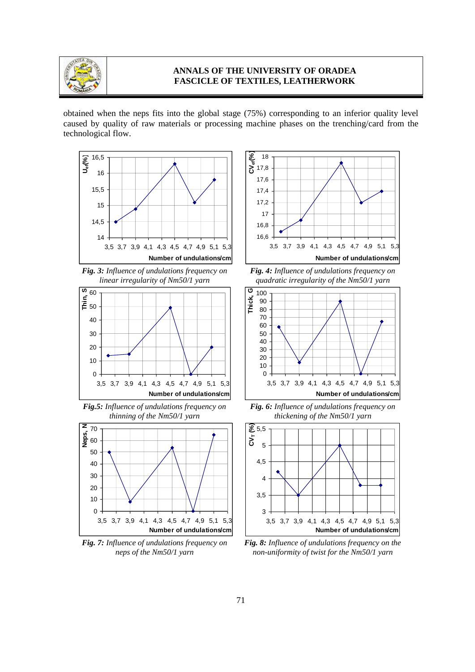

obtained when the neps fits into the global stage (75%) corresponding to an inferior quality level caused by quality of raw materials or processing machine phases on the trenching/card from the technological flow.







*Fig.5: Influence of undulations frequency on thinning of the Nm50/1 yarn*



*Fig. 7: Influence of undulations frequency on neps of the Nm50/1 yarn*







*Fig. 6: Influence of undulations frequency on thickening of the Nm50/1 yarn*



*Fig. 8: Influence of undulations frequency on the non-uniformity of twist for the Nm50/1 yarn*